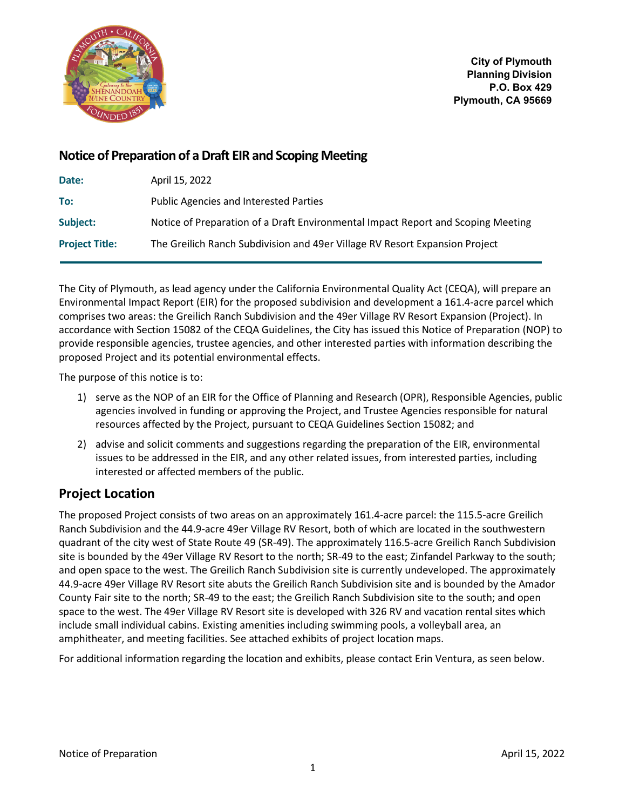

**City of Plymouth Planning Division P.O. Box 429 Plymouth, CA 95669**

# **Notice of Preparation of a Draft EIR and Scoping Meeting**

| Date:                 | April 15, 2022                                                                   |
|-----------------------|----------------------------------------------------------------------------------|
| To:                   | <b>Public Agencies and Interested Parties</b>                                    |
| Subject:              | Notice of Preparation of a Draft Environmental Impact Report and Scoping Meeting |
| <b>Project Title:</b> | The Greilich Ranch Subdivision and 49er Village RV Resort Expansion Project      |

The City of Plymouth, as lead agency under the California Environmental Quality Act (CEQA), will prepare an Environmental Impact Report (EIR) for the proposed subdivision and development a 161.4-acre parcel which comprises two areas: the Greilich Ranch Subdivision and the 49er Village RV Resort Expansion (Project). In accordance with Section 15082 of the CEQA Guidelines, the City has issued this Notice of Preparation (NOP) to provide responsible agencies, trustee agencies, and other interested parties with information describing the proposed Project and its potential environmental effects.

The purpose of this notice is to:

- 1) serve as the NOP of an EIR for the Office of Planning and Research (OPR), Responsible Agencies, public agencies involved in funding or approving the Project, and Trustee Agencies responsible for natural resources affected by the Project, pursuant to CEQA Guidelines Section 15082; and
- 2) advise and solicit comments and suggestions regarding the preparation of the EIR, environmental issues to be addressed in the EIR, and any other related issues, from interested parties, including interested or affected members of the public.

# **Project Location**

The proposed Project consists of two areas on an approximately 161.4-acre parcel: the 115.5-acre Greilich Ranch Subdivision and the 44.9-acre 49er Village RV Resort, both of which are located in the southwestern quadrant of the city west of State Route 49 (SR-49). The approximately 116.5-acre Greilich Ranch Subdivision site is bounded by the 49er Village RV Resort to the north; SR-49 to the east; Zinfandel Parkway to the south; and open space to the west. The Greilich Ranch Subdivision site is currently undeveloped. The approximately 44.9-acre 49er Village RV Resort site abuts the Greilich Ranch Subdivision site and is bounded by the Amador County Fair site to the north; SR-49 to the east; the Greilich Ranch Subdivision site to the south; and open space to the west. The 49er Village RV Resort site is developed with 326 RV and vacation rental sites which include small individual cabins. Existing amenities including swimming pools, a volleyball area, an amphitheater, and meeting facilities. See attached exhibits of project location maps.

For additional information regarding the location and exhibits, please contact Erin Ventura, as seen below.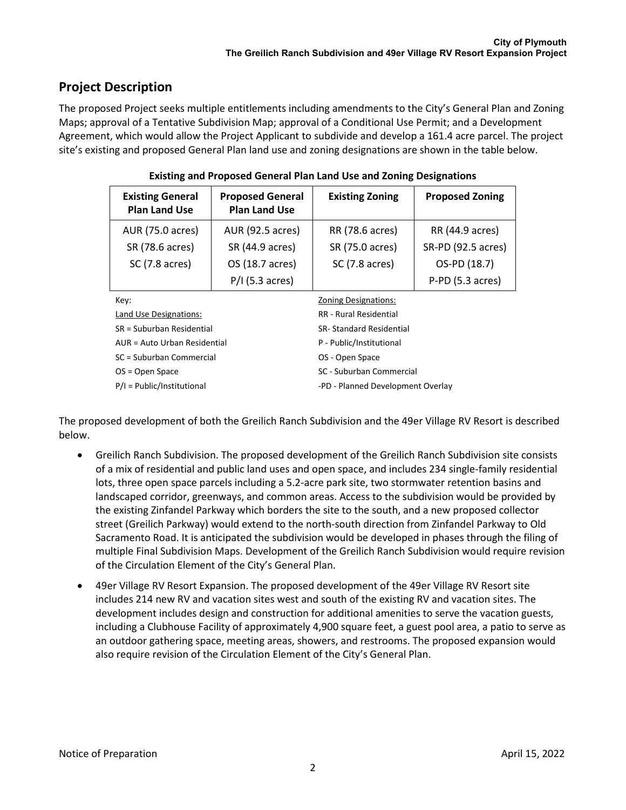# **Project Description**

The proposed Project seeks multiple entitlements including amendments to the City's General Plan and Zoning Maps; approval of a Tentative Subdivision Map; approval of a Conditional Use Permit; and a Development Agreement, which would allow the Project Applicant to subdivide and develop a 161.4 acre parcel. The project site's existing and proposed General Plan land use and zoning designations are shown in the table below.

| <b>Existing General</b><br><b>Plan Land Use</b> | <b>Proposed General</b><br><b>Plan Land Use</b> | <b>Existing Zoning</b>            | <b>Proposed Zoning</b> |  |
|-------------------------------------------------|-------------------------------------------------|-----------------------------------|------------------------|--|
| AUR (75.0 acres)                                | AUR (92.5 acres)                                | RR (78.6 acres)                   | RR (44.9 acres)        |  |
| SR (78.6 acres)                                 | SR (44.9 acres)                                 | SR (75.0 acres)                   | SR-PD (92.5 acres)     |  |
| $SC(7.8 \, \text{acres})$                       | OS (18.7 acres)                                 | $SC(7.8 \, \text{acres})$         | OS-PD (18.7)           |  |
|                                                 | $P/I$ (5.3 acres)                               |                                   | P-PD (5.3 acres)       |  |
| Key:                                            |                                                 | <b>Zoning Designations:</b>       |                        |  |
| Land Use Designations:                          |                                                 | <b>RR</b> - Rural Residential     |                        |  |
| SR = Suburban Residential                       |                                                 | <b>SR-Standard Residential</b>    |                        |  |
| AUR = Auto Urban Residential                    |                                                 | P - Public/Institutional          |                        |  |
| SC = Suburban Commercial                        |                                                 | OS - Open Space                   |                        |  |
| $OS = Open Space$                               |                                                 | SC - Suburban Commercial          |                        |  |
| $P/I = Public/Institutional$                    |                                                 | -PD - Planned Development Overlay |                        |  |

The proposed development of both the Greilich Ranch Subdivision and the 49er Village RV Resort is described below.

- Greilich Ranch Subdivision. The proposed development of the Greilich Ranch Subdivision site consists of a mix of residential and public land uses and open space, and includes 234 single-family residential lots, three open space parcels including a 5.2-acre park site, two stormwater retention basins and landscaped corridor, greenways, and common areas. Access to the subdivision would be provided by the existing Zinfandel Parkway which borders the site to the south, and a new proposed collector street (Greilich Parkway) would extend to the north-south direction from Zinfandel Parkway to Old Sacramento Road. It is anticipated the subdivision would be developed in phases through the filing of multiple Final Subdivision Maps. Development of the Greilich Ranch Subdivision would require revision of the Circulation Element of the City's General Plan.
- 49er Village RV Resort Expansion. The proposed development of the 49er Village RV Resort site includes 214 new RV and vacation sites west and south of the existing RV and vacation sites. The development includes design and construction for additional amenities to serve the vacation guests, including a Clubhouse Facility of approximately 4,900 square feet, a guest pool area, a patio to serve as an outdoor gathering space, meeting areas, showers, and restrooms. The proposed expansion would also require revision of the Circulation Element of the City's General Plan.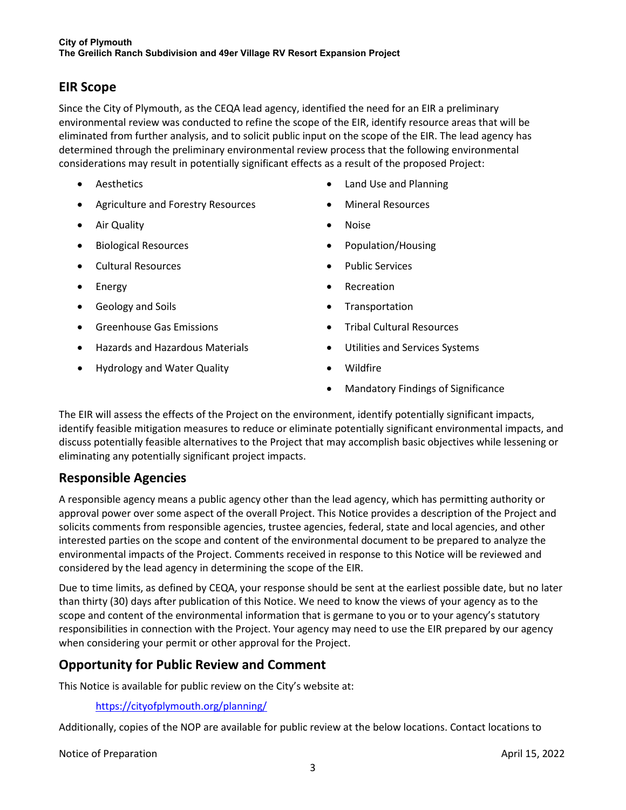# **EIR Scope**

Since the City of Plymouth, as the CEQA lead agency, identified the need for an EIR a preliminary environmental review was conducted to refine the scope of the EIR, identify resource areas that will be eliminated from further analysis, and to solicit public input on the scope of the EIR. The lead agency has determined through the preliminary environmental review process that the following environmental considerations may result in potentially significant effects as a result of the proposed Project:

- Aesthetics
- Agriculture and Forestry Resources
- Air Quality
- Biological Resources
- Cultural Resources
- Energy
- Geology and Soils
- Greenhouse Gas Emissions
- Hazards and Hazardous Materials
- Hydrology and Water Quality
- Land Use and Planning
- Mineral Resources
- Noise
- Population/Housing
- Public Services
- Recreation
- Transportation
- Tribal Cultural Resources
- Utilities and Services Systems
- Wildfire
- Mandatory Findings of Significance

The EIR will assess the effects of the Project on the environment, identify potentially significant impacts, identify feasible mitigation measures to reduce or eliminate potentially significant environmental impacts, and discuss potentially feasible alternatives to the Project that may accomplish basic objectives while lessening or eliminating any potentially significant project impacts.

### **Responsible Agencies**

A responsible agency means a public agency other than the lead agency, which has permitting authority or approval power over some aspect of the overall Project. This Notice provides a description of the Project and solicits comments from responsible agencies, trustee agencies, federal, state and local agencies, and other interested parties on the scope and content of the environmental document to be prepared to analyze the environmental impacts of the Project. Comments received in response to this Notice will be reviewed and considered by the lead agency in determining the scope of the EIR.

Due to time limits, as defined by CEQA, your response should be sent at the earliest possible date, but no later than thirty (30) days after publication of this Notice. We need to know the views of your agency as to the scope and content of the environmental information that is germane to you or to your agency's statutory responsibilities in connection with the Project. Your agency may need to use the EIR prepared by our agency when considering your permit or other approval for the Project.

# **Opportunity for Public Review and Comment**

This Notice is available for public review on the City's website at:

<https://cityofplymouth.org/planning/>

Additionally, copies of the NOP are available for public review at the below locations. Contact locations to

Notice of Preparation April 15, 2022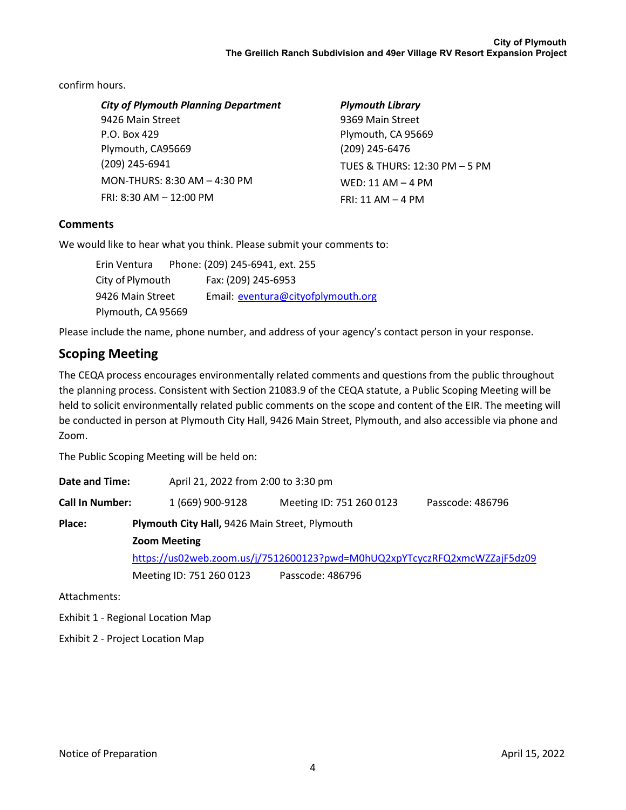confirm hours.

| <b>City of Plymouth Planning Department</b> | <b>Plymouth Library</b>       |  |
|---------------------------------------------|-------------------------------|--|
| 9426 Main Street                            | 9369 Main Street              |  |
| P.O. Box 429                                | Plymouth, CA 95669            |  |
| Plymouth, CA95669                           | (209) 245-6476                |  |
| (209) 245-6941                              | TUES & THURS: 12:30 PM - 5 PM |  |
| MON-THURS: 8:30 AM - 4:30 PM                | WED: 11 AM $-$ 4 PM           |  |
| FRI: $8:30$ AM $- 12:00$ PM                 | $FRI: 11 AM - 4 PM$           |  |
|                                             |                               |  |

#### **Comments**

We would like to hear what you think. Please submit your comments to:

| Erin Ventura       | Phone: (209) 245-6941, ext. 255    |
|--------------------|------------------------------------|
| City of Plymouth   | Fax: (209) 245-6953                |
| 9426 Main Street   | Email: eventura@cityofplymouth.org |
| Plymouth, CA 95669 |                                    |

Please include the name, phone number, and address of your agency's contact person in your response.

# **Scoping Meeting**

The CEQA process encourages environmentally related comments and questions from the public throughout the planning process. Consistent with Section 21083.9 of the CEQA statute, a Public Scoping Meeting will be held to solicit environmentally related public comments on the scope and content of the EIR. The meeting will be conducted in person at Plymouth City Hall, 9426 Main Street, Plymouth, and also accessible via phone and Zoom.

The Public Scoping Meeting will be held on:

| Date and Time:         |                                                | April 21, 2022 from 2:00 to 3:30 pm                                       |                  |  |  |  |
|------------------------|------------------------------------------------|---------------------------------------------------------------------------|------------------|--|--|--|
| <b>Call In Number:</b> | 1 (669) 900-9128                               | Meeting ID: 751 260 0123                                                  | Passcode: 486796 |  |  |  |
| Place:                 | Plymouth City Hall, 9426 Main Street, Plymouth |                                                                           |                  |  |  |  |
|                        | <b>Zoom Meeting</b>                            |                                                                           |                  |  |  |  |
|                        |                                                | https://us02web.zoom.us/j/7512600123?pwd=M0hUQ2xpYTcyczRFQ2xmcWZZajF5dz09 |                  |  |  |  |
|                        | Meeting ID: 751 260 0123                       | Passcode: 486796                                                          |                  |  |  |  |
|                        |                                                |                                                                           |                  |  |  |  |

Attachments:

Exhibit 1 - Regional Location Map

Exhibit 2 - Project Location Map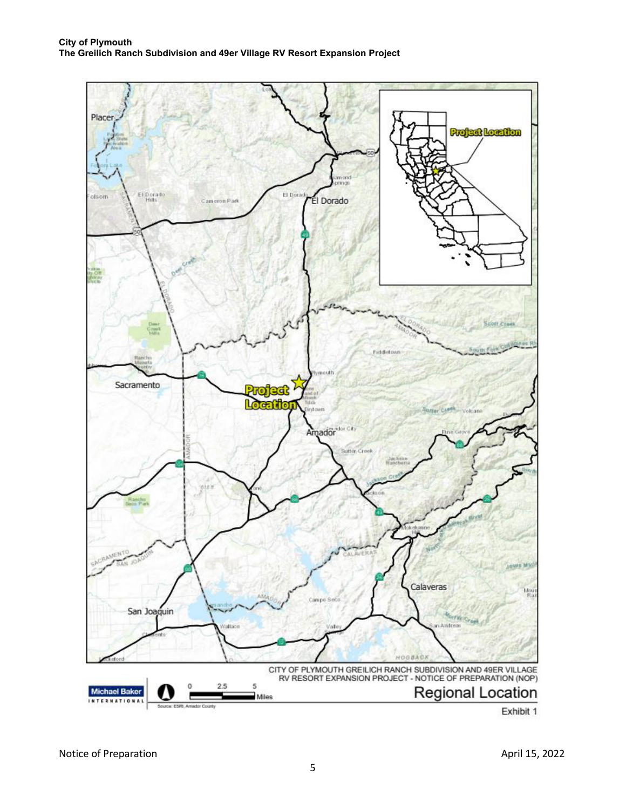